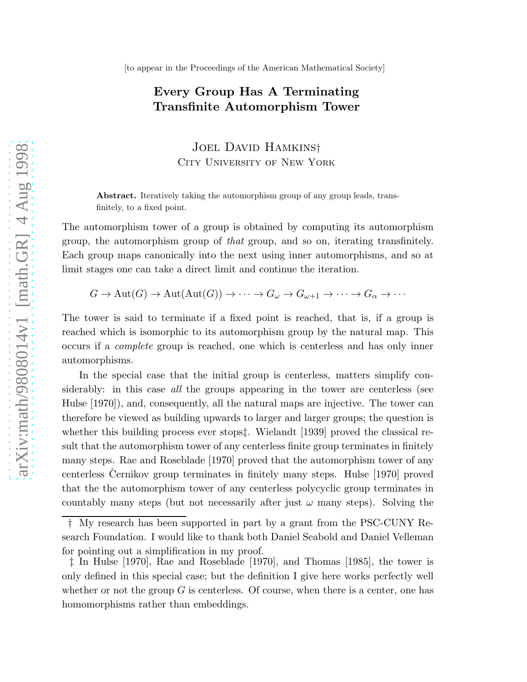## Every Group Has A Terminating Transfinite Automorphism Tower

Joel David Hamkins† City University of New York

Abstract. Iteratively taking the automorphism group of any group leads, transfinitely, to a fixed point.

The automorphism tower of a group is obtained by computing its automorphism group, the automorphism group of that group, and so on, iterating transfinitely. Each group maps canonically into the next using inner automorphisms, and so at limit stages one can take a direct limit and continue the iteration.

$$
G \to \mathrm{Aut}(G) \to \mathrm{Aut}(\mathrm{Aut}(G)) \to \cdots \to G_{\omega} \to G_{\omega+1} \to \cdots \to G_{\alpha} \to \cdots
$$

The tower is said to terminate if a fixed point is reached, that is, if a group is reached which is isomorphic to its automorphism group by the natural map. This occurs if a complete group is reached, one which is centerless and has only inner automorphisms.

In the special case that the initial group is centerless, matters simplify considerably: in this case all the groups appearing in the tower are centerless (see Hulse [1970]), and, consequently, all the natural maps are injective. The tower can therefore be viewed as building upwards to larger and larger groups; the question is whether this building process ever stops‡. Wielandt [1939] proved the classical result that the automorphism tower of any centerless finite group terminates in finitely many steps. Rae and Roseblade [1970] proved that the automorphism tower of any centerless Cernikov group terminates in finitely many steps. Hulse [1970] proved that the the automorphism tower of any centerless polycyclic group terminates in countably many steps (but not necessarily after just  $\omega$  many steps). Solving the

<sup>†</sup> My research has been supported in part by a grant from the PSC-CUNY Research Foundation. I would like to thank both Daniel Seabold and Daniel Velleman for pointing out a simplification in my proof.

<sup>‡</sup> In Hulse [1970], Rae and Roseblade [1970], and Thomas [1985], the tower is only defined in this special case; but the definition I give here works perfectly well whether or not the group  $G$  is centerless. Of course, when there is a center, one has homomorphisms rather than embeddings.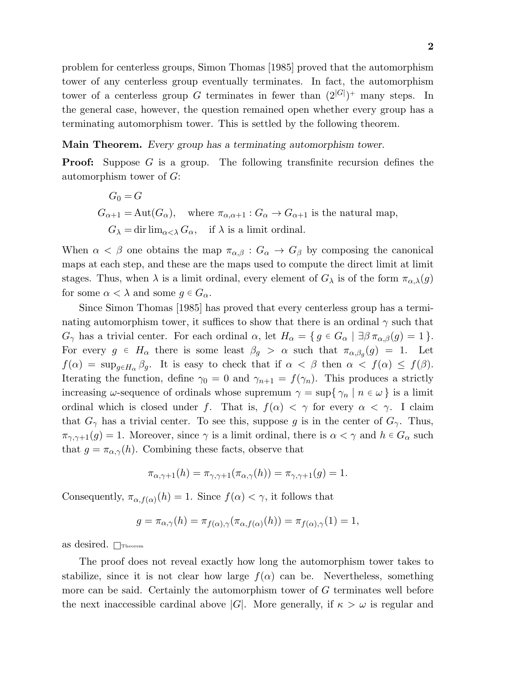problem for centerless groups, Simon Thomas [1985] proved that the automorphism tower of any centerless group eventually terminates. In fact, the automorphism tower of a centerless group G terminates in fewer than  $(2^{|G|})^+$  many steps. In the general case, however, the question remained open whether every group has a terminating automorphism tower. This is settled by the following theorem.

Main Theorem. Every group has a terminating automorphism tower.

**Proof:** Suppose G is a group. The following transfinite recursion defines the automorphism tower of G:

$$
G_0 = G
$$
  
\n
$$
G_{\alpha+1} = \text{Aut}(G_{\alpha}), \quad \text{where } \pi_{\alpha,\alpha+1} : G_{\alpha} \to G_{\alpha+1} \text{ is the natural map,}
$$
  
\n
$$
G_{\lambda} = \text{dir } \lim_{\alpha < \lambda} G_{\alpha}, \quad \text{if } \lambda \text{ is a limit ordinal.}
$$

When  $\alpha < \beta$  one obtains the map  $\pi_{\alpha,\beta}: G_{\alpha} \to G_{\beta}$  by composing the canonical maps at each step, and these are the maps used to compute the direct limit at limit stages. Thus, when  $\lambda$  is a limit ordinal, every element of  $G_{\lambda}$  is of the form  $\pi_{\alpha,\lambda}(g)$ for some  $\alpha < \lambda$  and some  $g \in G_{\alpha}$ .

Since Simon Thomas [1985] has proved that every centerless group has a terminating automorphism tower, it suffices to show that there is an ordinal  $\gamma$  such that  $G_{\gamma}$  has a trivial center. For each ordinal  $\alpha$ , let  $H_{\alpha} = \{ g \in G_{\alpha} \mid \exists \beta \pi_{\alpha,\beta}(g) = 1 \}.$ For every  $g \in H_\alpha$  there is some least  $\beta_g > \alpha$  such that  $\pi_{\alpha,\beta_g}(g) = 1$ . Let  $f(\alpha) = \sup_{g \in H_\alpha} \beta_g$ . It is easy to check that if  $\alpha < \beta$  then  $\alpha < f(\alpha) \leq f(\beta)$ . Iterating the function, define  $\gamma_0 = 0$  and  $\gamma_{n+1} = f(\gamma_n)$ . This produces a strictly increasing  $\omega$ -sequence of ordinals whose supremum  $\gamma = \sup\{\gamma_n \mid n \in \omega\}$  is a limit ordinal which is closed under f. That is,  $f(\alpha) < \gamma$  for every  $\alpha < \gamma$ . I claim that  $G_{\gamma}$  has a trivial center. To see this, suppose g is in the center of  $G_{\gamma}$ . Thus,  $\pi_{\gamma,\gamma+1}(g) = 1$ . Moreover, since  $\gamma$  is a limit ordinal, there is  $\alpha < \gamma$  and  $h \in G_\alpha$  such that  $g = \pi_{\alpha,\gamma}(h)$ . Combining these facts, observe that

$$
\pi_{\alpha,\gamma+1}(h) = \pi_{\gamma,\gamma+1}(\pi_{\alpha,\gamma}(h)) = \pi_{\gamma,\gamma+1}(g) = 1.
$$

Consequently,  $\pi_{\alpha,f(\alpha)}(h) = 1$ . Since  $f(\alpha) < \gamma$ , it follows that

$$
g = \pi_{\alpha,\gamma}(h) = \pi_{f(\alpha),\gamma}(\pi_{\alpha,f(\alpha)}(h)) = \pi_{f(\alpha),\gamma}(1) = 1,
$$

as desired.  $\Box$ Theorem

The proof does not reveal exactly how long the automorphism tower takes to stabilize, since it is not clear how large  $f(\alpha)$  can be. Nevertheless, something more can be said. Certainly the automorphism tower of G terminates well before the next inaccessible cardinal above |G|. More generally, if  $\kappa > \omega$  is regular and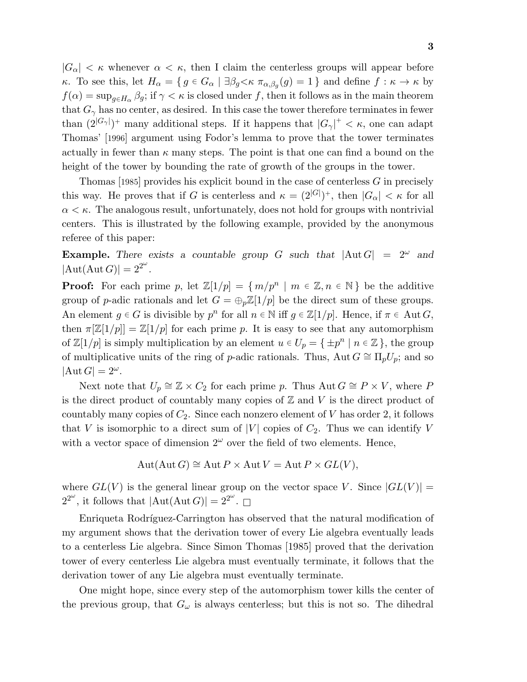$|G_{\alpha}| < \kappa$  whenever  $\alpha < \kappa$ , then I claim the centerless groups will appear before κ. To see this, let  $H_{\alpha} = \{ g \in G_{\alpha} \mid \exists \beta_g \lt \kappa \ \pi_{\alpha,\beta_g}(g) = 1 \}$  and define  $f : \kappa \to \kappa$  by  $f(\alpha) = \sup_{g \in H_{\alpha}} \beta_g$ ; if  $\gamma < \kappa$  is closed under f, then it follows as in the main theorem that  $G_{\gamma}$  has no center, as desired. In this case the tower therefore terminates in fewer than  $(2^{|G_\gamma|})^+$  many additional steps. If it happens that  $|G_\gamma|^+ < \kappa$ , one can adapt Thomas' [1996] argument using Fodor's lemma to prove that the tower terminates actually in fewer than  $\kappa$  many steps. The point is that one can find a bound on the height of the tower by bounding the rate of growth of the groups in the tower.

Thomas [1985] provides his explicit bound in the case of centerless  $G$  in precisely this way. He proves that if G is centerless and  $\kappa = (2^{|G|})^+$ , then  $|G_{\alpha}| < \kappa$  for all  $\alpha < \kappa$ . The analogous result, unfortunately, does not hold for groups with nontrivial centers. This is illustrated by the following example, provided by the anonymous referee of this paper:

**Example.** There exists a countable group G such that  $|\text{Aut }G| = 2^{\omega}$  and  $|\text{Aut}(\text{Aut }G)| = 2^{2^{\omega}}.$ 

**Proof:** For each prime p, let  $\mathbb{Z}[1/p] = \{m/p^n \mid m \in \mathbb{Z}, n \in \mathbb{N}\}\$  be the additive group of p-adic rationals and let  $G = \bigoplus_{p} \mathbb{Z}[1/p]$  be the direct sum of these groups. An element  $g \in G$  is divisible by  $p^n$  for all  $n \in \mathbb{N}$  iff  $g \in \mathbb{Z}[1/p]$ . Hence, if  $\pi \in \text{Aut } G$ , then  $\pi[\mathbb{Z}[1/p]] = \mathbb{Z}[1/p]$  for each prime p. It is easy to see that any automorphism of  $\mathbb{Z}[1/p]$  is simply multiplication by an element  $u \in U_p = \{ \pm p^n \mid n \in \mathbb{Z} \}$ , the group of multiplicative units of the ring of p-adic rationals. Thus, Aut  $G \cong \Pi_p U_p$ ; and so  $|\text{Aut }G|=2^{\omega}.$ 

Next note that  $U_p \cong \mathbb{Z} \times C_2$  for each prime p. Thus Aut  $G \cong P \times V$ , where P is the direct product of countably many copies of  $\mathbb Z$  and  $V$  is the direct product of countably many copies of  $C_2$ . Since each nonzero element of V has order 2, it follows that V is isomorphic to a direct sum of  $|V|$  copies of  $C_2$ . Thus we can identify V with a vector space of dimension  $2^{\omega}$  over the field of two elements. Hence,

$$
Aut(Aut G) \cong Aut P \times Aut V = Aut P \times GL(V),
$$

where  $GL(V)$  is the general linear group on the vector space V. Since  $|GL(V)|=$  $2^{2^{\omega}}$ , it follows that  $|\text{Aut}(\text{Aut }G)| = 2^{2^{\omega}}$ .

Enriqueta Rodríguez-Carrington has observed that the natural modification of my argument shows that the derivation tower of every Lie algebra eventually leads to a centerless Lie algebra. Since Simon Thomas [1985] proved that the derivation tower of every centerless Lie algebra must eventually terminate, it follows that the derivation tower of any Lie algebra must eventually terminate.

One might hope, since every step of the automorphism tower kills the center of the previous group, that  $G_{\omega}$  is always centerless; but this is not so. The dihedral